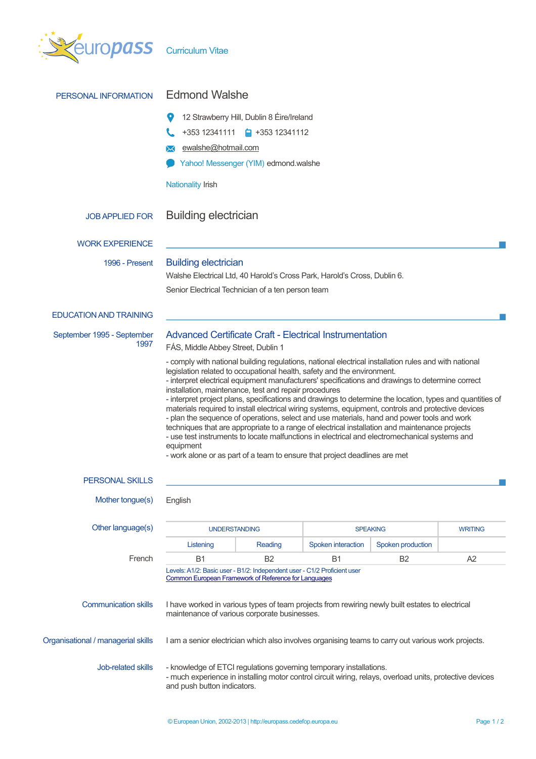